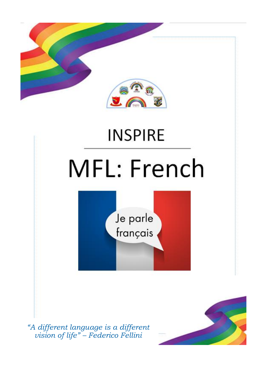

*"A different language is a different vision of life" – Federico Fellini*

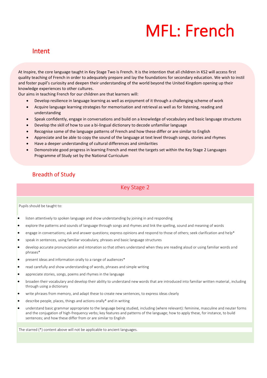## MFL: French

#### Intent

At Inspire, the core language taught in Key Stage Two is French. It is the intention that all children in KS2 will access first quality teaching of French in order to adequately prepare and lay the foundations for secondary education. We wish to instil and foster pupil's curiosity and deepen their understanding of the world beyond the United Kingdom opening up their knowledge experiences to other cultures.

Our aims in teaching French for our children are that learners will:

- Develop resilience in language learning as well as enjoyment of it through a challenging scheme of work
- Acquire language learning strategies for memorisation and retrieval as well as for listening, reading and understanding
- Speak confidently, engage in conversations and build on a knowledge of vocabulary and basic language structures
- Develop the skill of how to use a bi-lingual dictionary to decode unfamiliar language
- Recognise some of the language patterns of French and how these differ or are similar to English
- Appreciate and be able to copy the sound of the language at text level through songs, stories and rhymes
- Have a deeper understanding of cultural differences and similarities
- Demonstrate good progress in learning French and meet the targets set within the Key Stage 2 Languages Programme of Study set by the National Curriculum

#### Breadth of Study

Key Stage 2

Pupils should be taught to:

- listen attentively to spoken language and show understanding by joining in and responding
- explore the patterns and sounds of language through songs and rhymes and link the spelling, sound and meaning of words
- engage in conversations; ask and answer questions; express opinions and respond to those of others; seek clarification and help\*
- speak in sentences, using familiar vocabulary, phrases and basic language structures
- develop accurate pronunciation and intonation so that others understand when they are reading aloud or using familiar words and phrases\*
- present ideas and information orally to a range of audiences\*
- read carefully and show understanding of words, phrases and simple writing
- appreciate stories, songs, poems and rhymes in the language
- broaden their vocabulary and develop their ability to understand new words that are introduced into familiar written material, including through using a dictionary
- write phrases from memory, and adapt these to create new sentences, to express ideas clearly
- describe people, places, things and actions orally\* and in writing
- understand basic grammar appropriate to the language being studied, including (where relevant): feminine, masculine and neuter forms and the conjugation of high-frequency verbs; key features and patterns of the language; how to apply these, for instance, to build sentences; and how these differ from or are similar to English

The starred (\*) content above will not be applicable to ancient languages.